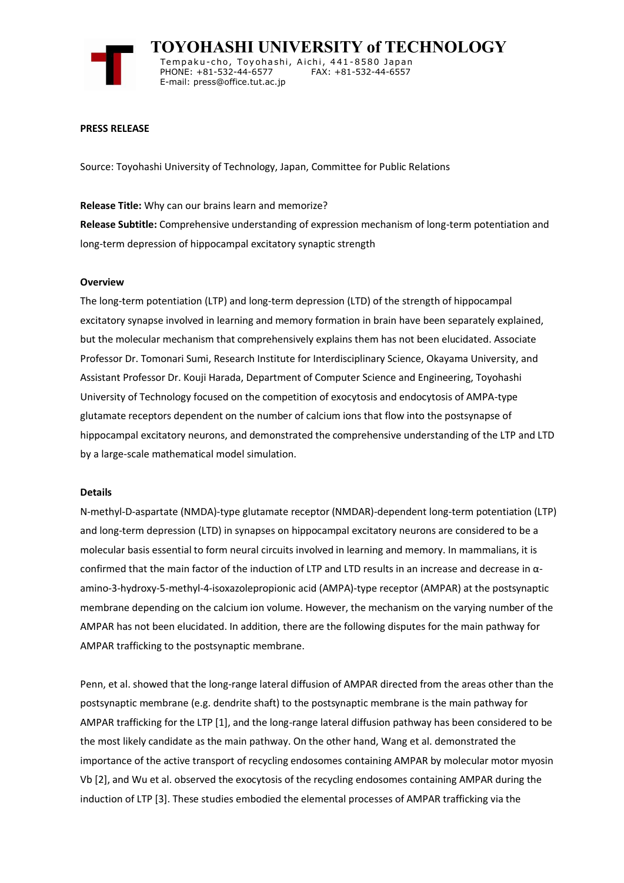

 **TOYOHASHI UNIVERSITY of TECHNOLOGY** Tempaku-cho, Toyohashi, Aichi, 441-8580 Japan<br>PHONE: +81-532-44-6577 FAX: +81-532-44-6557 PHONE: +81-532-44-6577 E-mail: press@office.tut.ac.jp

# **PRESS RELEASE**

Source: Toyohashi University of Technology, Japan, Committee for Public Relations

# **Release Title:** Why can our brains learn and memorize?

**Release Subtitle:** Comprehensive understanding of expression mechanism of long-term potentiation and long-term depression of hippocampal excitatory synaptic strength

# **Overview**

The long-term potentiation (LTP) and long-term depression (LTD) of the strength of hippocampal excitatory synapse involved in learning and memory formation in brain have been separately explained, but the molecular mechanism that comprehensively explains them has not been elucidated. Associate Professor Dr. Tomonari Sumi, Research Institute for Interdisciplinary Science, Okayama University, and Assistant Professor Dr. Kouji Harada, Department of Computer Science and Engineering, Toyohashi University of Technology focused on the competition of exocytosis and endocytosis of AMPA-type glutamate receptors dependent on the number of calcium ions that flow into the postsynapse of hippocampal excitatory neurons, and demonstrated the comprehensive understanding of the LTP and LTD by a large-scale mathematical model simulation.

## **Details**

N-methyl-D-aspartate (NMDA)-type glutamate receptor (NMDAR)-dependent long-term potentiation (LTP) and long-term depression (LTD) in synapses on hippocampal excitatory neurons are considered to be a molecular basis essential to form neural circuits involved in learning and memory. In mammalians, it is confirmed that the main factor of the induction of LTP and LTD results in an increase and decrease in αamino-3-hydroxy-5-methyl-4-isoxazolepropionic acid (AMPA)-type receptor (AMPAR) at the postsynaptic membrane depending on the calcium ion volume. However, the mechanism on the varying number of the AMPAR has not been elucidated. In addition, there are the following disputes for the main pathway for AMPAR trafficking to the postsynaptic membrane.

Penn, et al. showed that the long-range lateral diffusion of AMPAR directed from the areas other than the postsynaptic membrane (e.g. dendrite shaft) to the postsynaptic membrane is the main pathway for AMPAR trafficking for the LTP [1], and the long-range lateral diffusion pathway has been considered to be the most likely candidate as the main pathway. On the other hand, Wang et al. demonstrated the importance of the active transport of recycling endosomes containing AMPAR by molecular motor myosin Vb [2], and Wu et al. observed the exocytosis of the recycling endosomes containing AMPAR during the induction of LTP [3]. These studies embodied the elemental processes of AMPAR trafficking via the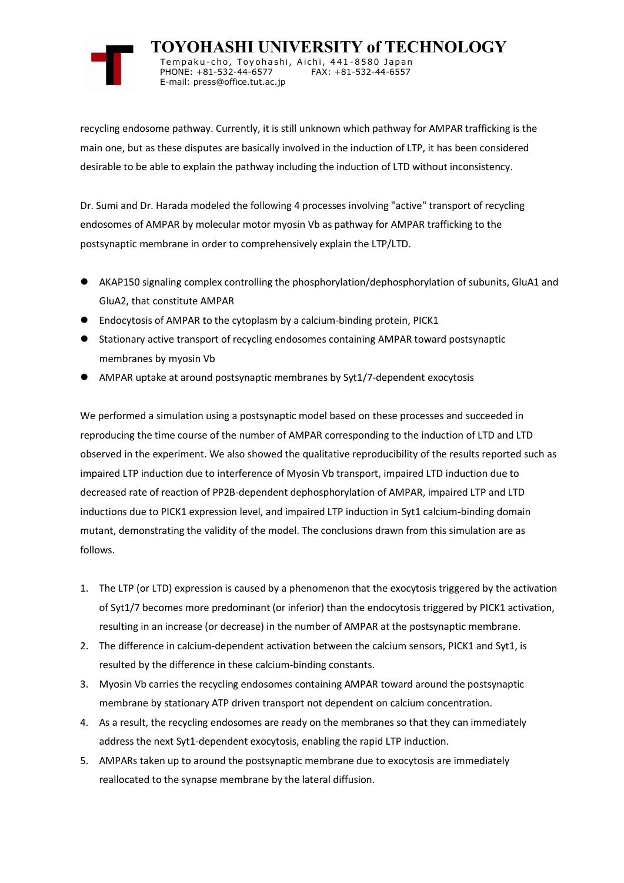

 **TOYOHASHI UNIVERSITY of TECHNOLOGY** Tempaku-cho, Toyohashi, Aichi, 441-8580 Japan<br>PHONE: +81-532-44-6577 FAX: +81-532-44-6557 PHONE: +81-532-44-6577 E-mail: press@office.tut.ac.jp

recycling endosome pathway. Currently, it is still unknown which pathway for AMPAR trafficking is the main one, but as these disputes are basically involved in the induction of LTP, it has been considered desirable to be able to explain the pathway including the induction of LTD without inconsistency.

Dr. Sumi and Dr. Harada modeled the following 4 processes involving "active" transport of recycling endosomes of AMPAR by molecular motor myosin Vb as pathway for AMPAR trafficking to the postsynaptic membrane in order to comprehensively explain the LTP/LTD.

- ⚫ AKAP150 signaling complex controlling the phosphorylation/dephosphorylation of subunits, GluA1 and GluA2, that constitute AMPAR
- ⚫ Endocytosis of AMPAR to the cytoplasm by a calcium-binding protein, PICK1
- ⚫ Stationary active transport of recycling endosomes containing AMPAR toward postsynaptic membranes by myosin Vb
- ⚫ AMPAR uptake at around postsynaptic membranes by Syt1/7-dependent exocytosis

We performed a simulation using a postsynaptic model based on these processes and succeeded in reproducing the time course of the number of AMPAR corresponding to the induction of LTD and LTD observed in the experiment. We also showed the qualitative reproducibility of the results reported such as impaired LTP induction due to interference of Myosin Vb transport, impaired LTD induction due to decreased rate of reaction of PP2B-dependent dephosphorylation of AMPAR, impaired LTP and LTD inductions due to PICK1 expression level, and impaired LTP induction in Syt1 calcium-binding domain mutant, demonstrating the validity of the model. The conclusions drawn from this simulation are as follows.

- 1. The LTP (or LTD) expression is caused by a phenomenon that the exocytosis triggered by the activation of Syt1/7 becomes more predominant (or inferior) than the endocytosis triggered by PICK1 activation, resulting in an increase (or decrease) in the number of AMPAR at the postsynaptic membrane.
- 2. The difference in calcium-dependent activation between the calcium sensors, PICK1 and Syt1, is resulted by the difference in these calcium-binding constants.
- 3. Myosin Vb carries the recycling endosomes containing AMPAR toward around the postsynaptic membrane by stationary ATP driven transport not dependent on calcium concentration.
- 4. As a result, the recycling endosomes are ready on the membranes so that they can immediately address the next Syt1-dependent exocytosis, enabling the rapid LTP induction.
- 5. AMPARs taken up to around the postsynaptic membrane due to exocytosis are immediately reallocated to the synapse membrane by the lateral diffusion.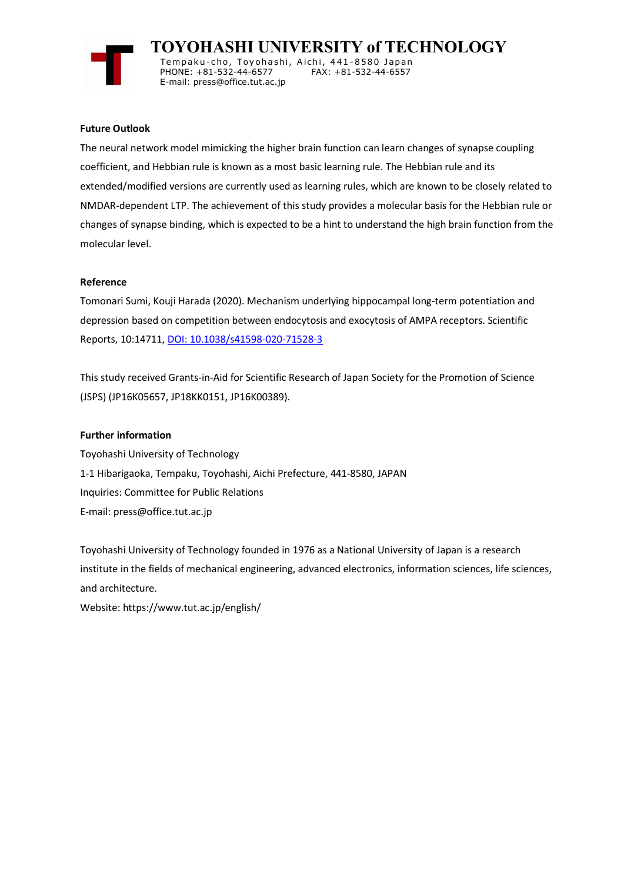

 **TOYOHASHI UNIVERSITY of TECHNOLOGY** Tempaku-cho, Toyohashi, Aichi, 441-8580 Japan<br>PHONE: +81-532-44-6577 FAX: +81-532-44-6557 PHONE: +81-532-44-6577

# **Future Outlook**

The neural network model mimicking the higher brain function can learn changes of synapse coupling coefficient, and Hebbian rule is known as a most basic learning rule. The Hebbian rule and its extended/modified versions are currently used as learning rules, which are known to be closely related to NMDAR-dependent LTP. The achievement of this study provides a molecular basis for the Hebbian rule or changes of synapse binding, which is expected to be a hint to understand the high brain function from the molecular level.

## **Reference**

Tomonari Sumi, Kouji Harada (2020). Mechanism underlying hippocampal long-term potentiation and depression based on competition between endocytosis and exocytosis of AMPA receptors. Scientific Reports, 10:14711, [DOI: 10.1038/s41598-020-71528-3](http://www.nature.com/articles/s41598-020-71528-3)

This study received Grants-in-Aid for Scientific Research of Japan Society for the Promotion of Science (JSPS) (JP16K05657, JP18KK0151, JP16K00389).

## **Further information**

Toyohashi University of Technology 1-1 Hibarigaoka, Tempaku, Toyohashi, Aichi Prefecture, 441-8580, JAPAN Inquiries: Committee for Public Relations E-mail: press@office.tut.ac.jp

E-mail: press@office.tut.ac.jp

Toyohashi University of Technology founded in 1976 as a National University of Japan is a research institute in the fields of mechanical engineering, advanced electronics, information sciences, life sciences, and architecture.

Website: https://www.tut.ac.jp/english/